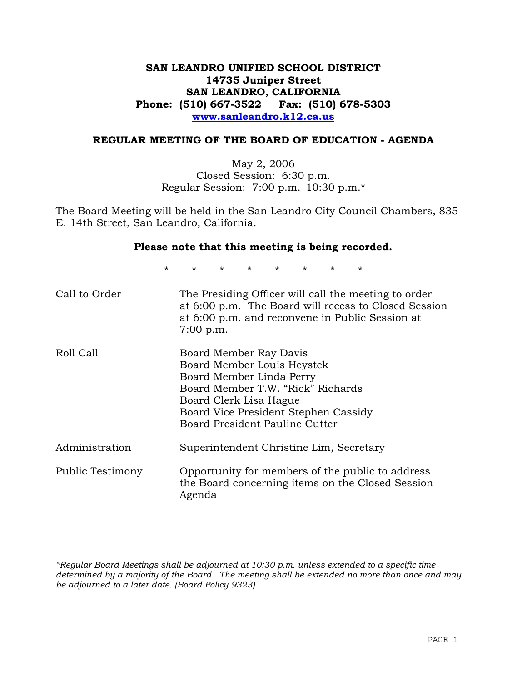## **SAN LEANDRO UNIFIED SCHOOL DISTRICT 14735 Juniper Street SAN LEANDRO, CALIFORNIA Phone: (510) 667-3522 Fax: (510) 678-5303 www.sanleandro.k12.ca.us**

### **REGULAR MEETING OF THE BOARD OF EDUCATION - AGENDA**

May 2, 2006 Closed Session: 6:30 p.m. Regular Session: 7:00 p.m.–10:30 p.m.\*

The Board Meeting will be held in the San Leandro City Council Chambers, 835 E. 14th Street, San Leandro, California.

#### **Please note that this meeting is being recorded.**

\* \* \* \* \* \* \* \*

| Call to Order    | The Presiding Officer will call the meeting to order<br>at 6:00 p.m. The Board will recess to Closed Session<br>at 6:00 p.m. and reconvene in Public Session at<br>$7:00$ p.m.                                            |
|------------------|---------------------------------------------------------------------------------------------------------------------------------------------------------------------------------------------------------------------------|
| Roll Call        | Board Member Ray Davis<br>Board Member Louis Heystek<br>Board Member Linda Perry<br>Board Member T.W. "Rick" Richards<br>Board Clerk Lisa Hague<br>Board Vice President Stephen Cassidy<br>Board President Pauline Cutter |
| Administration   | Superintendent Christine Lim, Secretary                                                                                                                                                                                   |
| Public Testimony | Opportunity for members of the public to address<br>the Board concerning items on the Closed Session<br>Agenda                                                                                                            |

*\*Regular Board Meetings shall be adjourned at 10:30 p.m. unless extended to a specific time determined by a majority of the Board. The meeting shall be extended no more than once and may be adjourned to a later date. (Board Policy 9323)*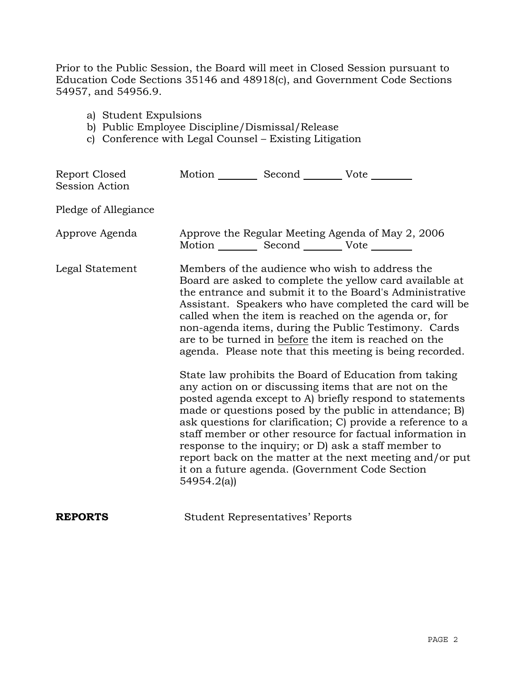Prior to the Public Session, the Board will meet in Closed Session pursuant to Education Code Sections 35146 and 48918(c), and Government Code Sections 54957, and 54956.9.

- a) Student Expulsions
- b) Public Employee Discipline/Dismissal/Release
- c) Conference with Legal Counsel Existing Litigation

| Report Closed<br><b>Session Action</b> | Motion ___________ Second ____________ Vote _________ |                                         |                                                                                                                                                                                                                                                                                                                                                                                                                                                                                                                                                                                                                                                                                                                                                                                                                                                                                                                                                                                                                        |
|----------------------------------------|-------------------------------------------------------|-----------------------------------------|------------------------------------------------------------------------------------------------------------------------------------------------------------------------------------------------------------------------------------------------------------------------------------------------------------------------------------------------------------------------------------------------------------------------------------------------------------------------------------------------------------------------------------------------------------------------------------------------------------------------------------------------------------------------------------------------------------------------------------------------------------------------------------------------------------------------------------------------------------------------------------------------------------------------------------------------------------------------------------------------------------------------|
| Pledge of Allegiance                   |                                                       |                                         |                                                                                                                                                                                                                                                                                                                                                                                                                                                                                                                                                                                                                                                                                                                                                                                                                                                                                                                                                                                                                        |
| Approve Agenda                         | Motion __________ Second __________ Vote ________     |                                         | Approve the Regular Meeting Agenda of May 2, 2006                                                                                                                                                                                                                                                                                                                                                                                                                                                                                                                                                                                                                                                                                                                                                                                                                                                                                                                                                                      |
| Legal Statement                        | 54954.2(a)                                            |                                         | Members of the audience who wish to address the<br>Board are asked to complete the yellow card available at<br>the entrance and submit it to the Board's Administrative<br>Assistant. Speakers who have completed the card will be<br>called when the item is reached on the agenda or, for<br>non-agenda items, during the Public Testimony. Cards<br>are to be turned in before the item is reached on the<br>agenda. Please note that this meeting is being recorded.<br>State law prohibits the Board of Education from taking<br>any action on or discussing items that are not on the<br>posted agenda except to A) briefly respond to statements<br>made or questions posed by the public in attendance; B)<br>ask questions for clarification; C) provide a reference to a<br>staff member or other resource for factual information in<br>response to the inquiry; or D) ask a staff member to<br>report back on the matter at the next meeting and/or put<br>it on a future agenda. (Government Code Section |
| <b>REPORTS</b>                         |                                                       | <b>Student Representatives' Reports</b> |                                                                                                                                                                                                                                                                                                                                                                                                                                                                                                                                                                                                                                                                                                                                                                                                                                                                                                                                                                                                                        |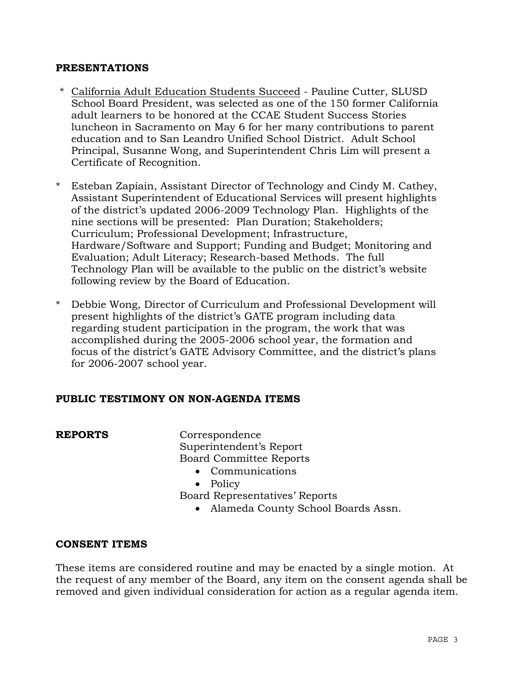### **PRESENTATIONS**

- \* California Adult Education Students Succeed Pauline Cutter, SLUSD School Board President, was selected as one of the 150 former California adult learners to be honored at the CCAE Student Success Stories luncheon in Sacramento on May 6 for her many contributions to parent education and to San Leandro Unified School District. Adult School Principal, Susanne Wong, and Superintendent Chris Lim will present a Certificate of Recognition.
- \* Esteban Zapiain, Assistant Director of Technology and Cindy M. Cathey, Assistant Superintendent of Educational Services will present highlights of the district's updated 2006-2009 Technology Plan. Highlights of the nine sections will be presented: Plan Duration; Stakeholders; Curriculum; Professional Development; Infrastructure, Hardware/Software and Support; Funding and Budget; Monitoring and Evaluation; Adult Literacy; Research-based Methods. The full Technology Plan will be available to the public on the district's website following review by the Board of Education.
- \* Debbie Wong, Director of Curriculum and Professional Development will present highlights of the district's GATE program including data regarding student participation in the program, the work that was accomplished during the 2005-2006 school year, the formation and focus of the district's GATE Advisory Committee, and the district's plans for 2006-2007 school year.

### **PUBLIC TESTIMONY ON NON-AGENDA ITEMS**

**REPORTS** Correspondence Superintendent's Report Board Committee Reports • Communications

• Policy

Board Representatives' Reports

• Alameda County School Boards Assn.

### **CONSENT ITEMS**

These items are considered routine and may be enacted by a single motion. At the request of any member of the Board, any item on the consent agenda shall be removed and given individual consideration for action as a regular agenda item.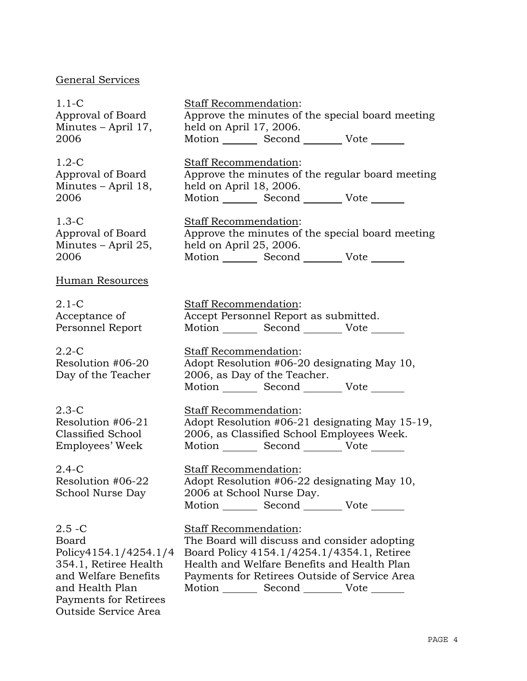## General Services

1.1-C Approval of Board Minutes – April 17, 2006

1.2-C Approval of Board Minutes – April 18, 2006

1.3-C Approval of Board Minutes – April 25, 2006

Human Resources

2.1-C Acceptance of Personnel Report

2.2-C Resolution #06-20 Day of the Teacher

2.3-C Resolution #06-21 Classified School Employees' Week

2.4-C Resolution #06-22 School Nurse Day

 $2.5 - C$ Board Policy4154.1/4254.1/4 354.1, Retiree Health and Welfare Benefits and Health Plan Payments for Retirees Outside Service Area

Staff Recommendation: Approve the minutes of the special board meeting held on April 17, 2006. Motion Second Vote

Staff Recommendation: Approve the minutes of the regular board meeting held on April 18, 2006. Motion Second Vote

Staff Recommendation: Approve the minutes of the special board meeting held on April 25, 2006. Motion \_\_\_\_\_\_\_\_\_ Second \_\_\_\_\_\_\_\_\_ Vote \_

Staff Recommendation: Accept Personnel Report as submitted. Motion Second Vote \_\_\_\_\_\_\_

Staff Recommendation: Adopt Resolution #06-20 designating May 10, 2006, as Day of the Teacher. Motion Second Vote

Staff Recommendation: Adopt Resolution #06-21 designating May 15-19, 2006, as Classified School Employees Week. Motion Second Vote \_\_\_\_\_\_

Staff Recommendation: Adopt Resolution #06-22 designating May 10, 2006 at School Nurse Day. Motion Second Vote

Staff Recommendation: The Board will discuss and consider adopting Board Policy 4154.1/4254.1/4354.1, Retiree Health and Welfare Benefits and Health Plan Payments for Retirees Outside of Service Area Motion Second Vote \_\_\_\_\_\_\_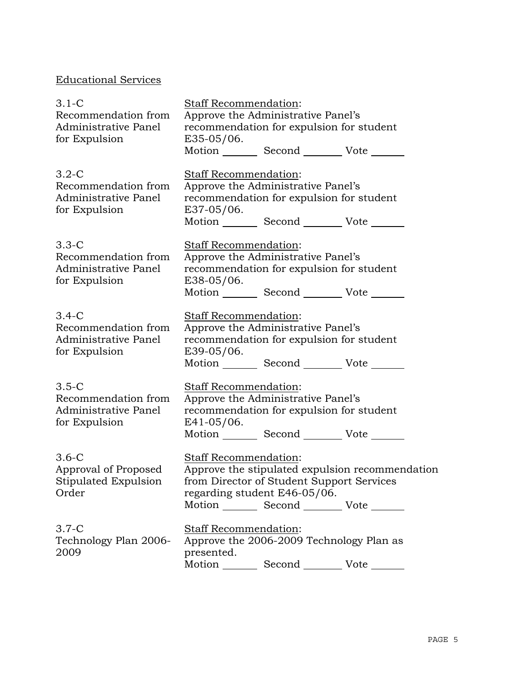# Educational Services

| $3.1-C$<br>Recommendation from<br>Administrative Panel                    | Staff Recommendation:                      | Approve the Administrative Panel's<br>recommendation for expulsion for student                                                    |                                                 |
|---------------------------------------------------------------------------|--------------------------------------------|-----------------------------------------------------------------------------------------------------------------------------------|-------------------------------------------------|
| for Expulsion                                                             | $E35-05/06.$                               | Motion _________ Second __________ Vote _______                                                                                   |                                                 |
| $3.2-C$<br>Recommendation from<br>Administrative Panel<br>for Expulsion   | Staff Recommendation:<br>E37-05/06.        | Approve the Administrative Panel's<br>recommendation for expulsion for student<br>Motion _________ Second __________ Vote _______ |                                                 |
| $3.3-C$<br>Recommendation from<br>Administrative Panel<br>for Expulsion   | Staff Recommendation:<br>E38-05/06.        | Approve the Administrative Panel's<br>recommendation for expulsion for student<br>Motion _________ Second __________ Vote _______ |                                                 |
| $3.4-C$<br>Recommendation from<br>Administrative Panel<br>for Expulsion   | <b>Staff Recommendation:</b><br>E39-05/06. | Approve the Administrative Panel's<br>recommendation for expulsion for student<br>Motion _________ Second _________ Vote _______  |                                                 |
| $3.5 - C$<br>Recommendation from<br>Administrative Panel<br>for Expulsion | Staff Recommendation:<br>$E41-05/06$ .     | Approve the Administrative Panel's<br>recommendation for expulsion for student<br>Motion _________ Second __________ Vote _______ |                                                 |
| $3.6-C$<br>Approval of Proposed<br>Stipulated Expulsion<br>Order          | Staff Recommendation:                      | from Director of Student Support Services<br>regarding student E46-05/06.<br>Motion _________ Second __________ Vote _______      | Approve the stipulated expulsion recommendation |
| $3.7-C$<br>Technology Plan 2006-<br>2009                                  | Staff Recommendation:<br>presented.        | Approve the 2006-2009 Technology Plan as<br>Motion _________ Second __________ Vote ____                                          |                                                 |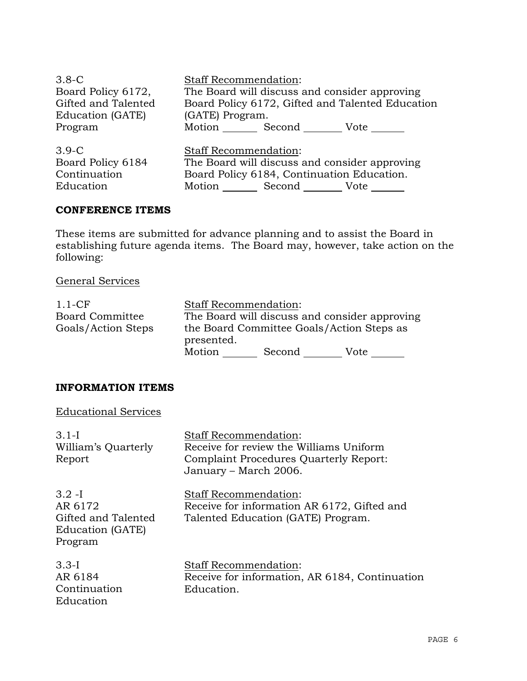| $3.8-C$             | <b>Staff Recommendation:</b>                     |
|---------------------|--------------------------------------------------|
| Board Policy 6172,  | The Board will discuss and consider approving    |
| Gifted and Talented | Board Policy 6172, Gifted and Talented Education |
| Education (GATE)    | (GATE) Program.                                  |
| Program             | Motion Second<br>Vote                            |
| $3.9-C$             | <b>Staff Recommendation:</b>                     |
| Board Policy 6184   | The Board will discuss and consider approving    |
| Continuation        | Board Policy 6184, Continuation Education.       |
| Education           | Motion _________ Second __________ Vote          |

## **CONFERENCE ITEMS**

These items are submitted for advance planning and to assist the Board in establishing future agenda items. The Board may, however, take action on the following:

## General Services

| $1.1$ -CF              | <b>Staff Recommendation:</b> |        |                                               |
|------------------------|------------------------------|--------|-----------------------------------------------|
| <b>Board Committee</b> |                              |        | The Board will discuss and consider approving |
| Goals/Action Steps     | presented.                   |        | the Board Committee Goals/Action Steps as     |
|                        | Motion                       | Second | Vote                                          |

### **INFORMATION ITEMS**

### Educational Services

| $3.1-I$<br>William's Quarterly<br>Report                                   | <b>Staff Recommendation:</b><br>Receive for review the Williams Uniform<br>Complaint Procedures Quarterly Report:<br>January – March 2006. |
|----------------------------------------------------------------------------|--------------------------------------------------------------------------------------------------------------------------------------------|
| $3.2 - I$<br>AR 6172<br>Gifted and Talented<br>Education (GATE)<br>Program | Staff Recommendation:<br>Receive for information AR 6172, Gifted and<br>Talented Education (GATE) Program.                                 |
| $3.3-I$<br>AR 6184<br>Continuation<br>Education                            | <b>Staff Recommendation:</b><br>Receive for information, AR 6184, Continuation<br>Education.                                               |